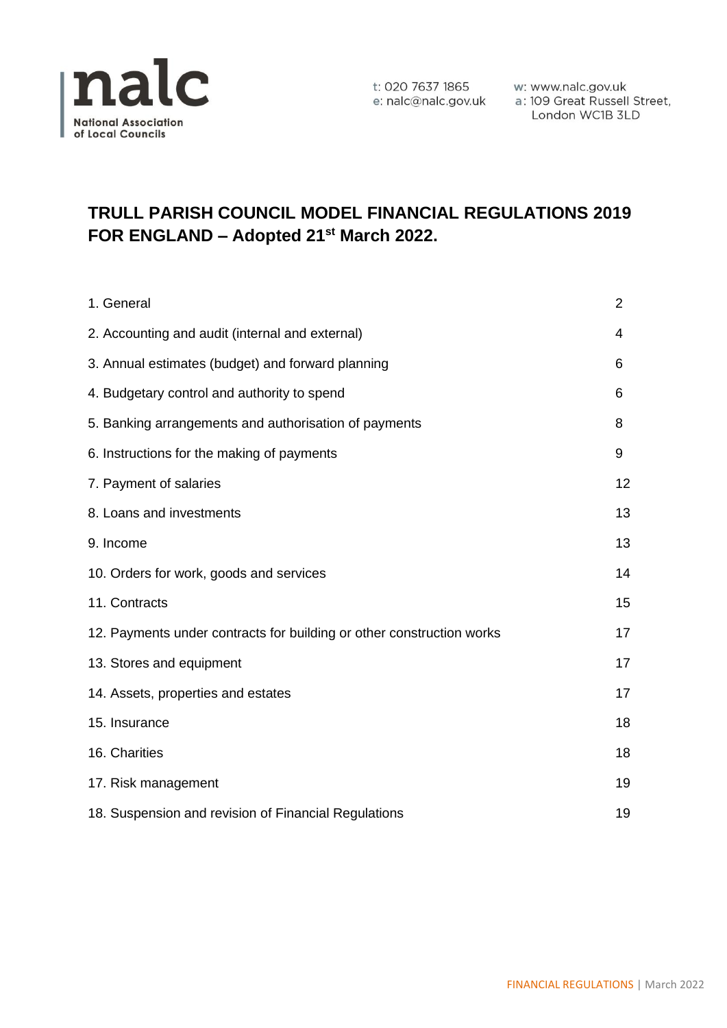

t: 020 7637 1865 w: www.nalc.gov.uk<br>e: nalc@nalc.gov.uk a: 109 Great Russell Street, London WC1B 3LD

# **TRULL PARISH COUNCIL MODEL FINANCIAL REGULATIONS 2019 FOR ENGLAND – Adopted 21st March 2022.**

| 1. General                                                            | $\overline{2}$ |
|-----------------------------------------------------------------------|----------------|
| 2. Accounting and audit (internal and external)                       | 4              |
| 3. Annual estimates (budget) and forward planning                     | 6              |
| 4. Budgetary control and authority to spend                           | 6              |
| 5. Banking arrangements and authorisation of payments                 | 8              |
| 6. Instructions for the making of payments                            | 9              |
| 7. Payment of salaries                                                | 12             |
| 8. Loans and investments                                              | 13             |
| 9. Income                                                             | 13             |
| 10. Orders for work, goods and services                               | 14             |
| 11. Contracts                                                         | 15             |
| 12. Payments under contracts for building or other construction works | 17             |
| 13. Stores and equipment                                              | 17             |
| 14. Assets, properties and estates                                    | 17             |
| 15. Insurance                                                         | 18             |
| 16. Charities                                                         | 18             |
| 17. Risk management                                                   | 19             |
| 18. Suspension and revision of Financial Regulations                  | 19             |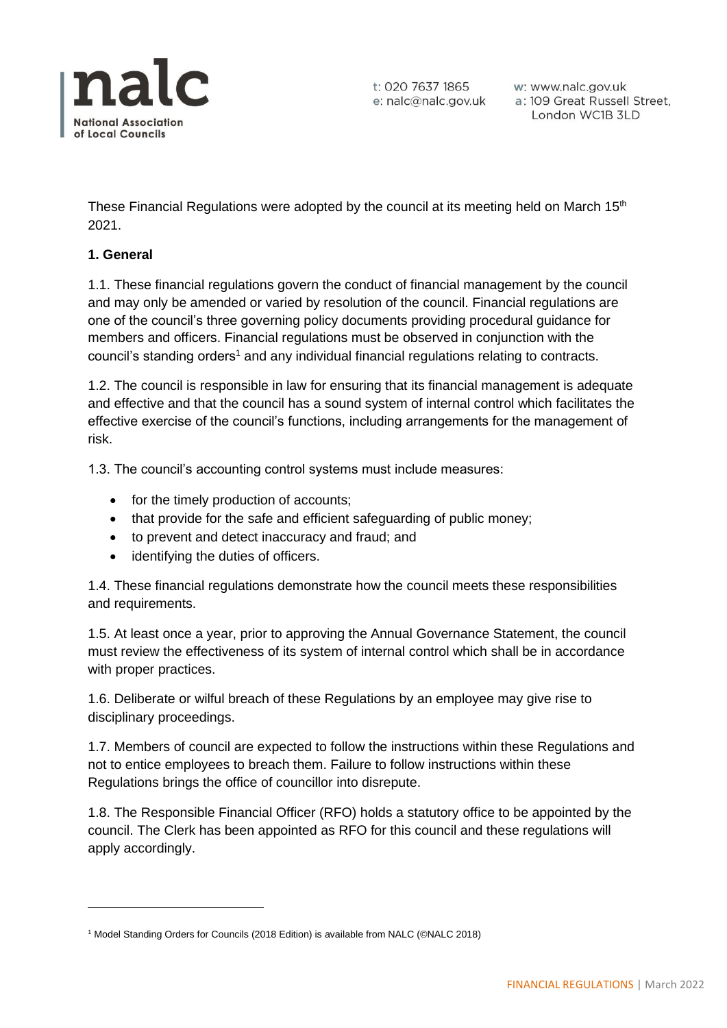

t: 020 7637 1865 e: nalc@nalc.gov.uk

w: www.nalc.gov.uk a: 109 Great Russell Street, London WC1B 3LD

These Financial Regulations were adopted by the council at its meeting held on March 15<sup>th</sup> 2021.

## **1. General**

1.1. These financial regulations govern the conduct of financial management by the council and may only be amended or varied by resolution of the council. Financial regulations are one of the council's three governing policy documents providing procedural guidance for members and officers. Financial regulations must be observed in conjunction with the council's standing orders<sup>1</sup> and any individual financial regulations relating to contracts.

1.2. The council is responsible in law for ensuring that its financial management is adequate and effective and that the council has a sound system of internal control which facilitates the effective exercise of the council's functions, including arrangements for the management of risk.

1.3. The council's accounting control systems must include measures:

- for the timely production of accounts;
- that provide for the safe and efficient safeguarding of public money;
- to prevent and detect inaccuracy and fraud; and
- identifying the duties of officers.

1.4. These financial regulations demonstrate how the council meets these responsibilities and requirements.

1.5. At least once a year, prior to approving the Annual Governance Statement, the council must review the effectiveness of its system of internal control which shall be in accordance with proper practices.

1.6. Deliberate or wilful breach of these Regulations by an employee may give rise to disciplinary proceedings.

1.7. Members of council are expected to follow the instructions within these Regulations and not to entice employees to breach them. Failure to follow instructions within these Regulations brings the office of councillor into disrepute.

1.8. The Responsible Financial Officer (RFO) holds a statutory office to be appointed by the council. The Clerk has been appointed as RFO for this council and these regulations will apply accordingly.

<sup>&</sup>lt;sup>1</sup> Model Standing Orders for Councils (2018 Edition) is available from NALC (©NALC 2018)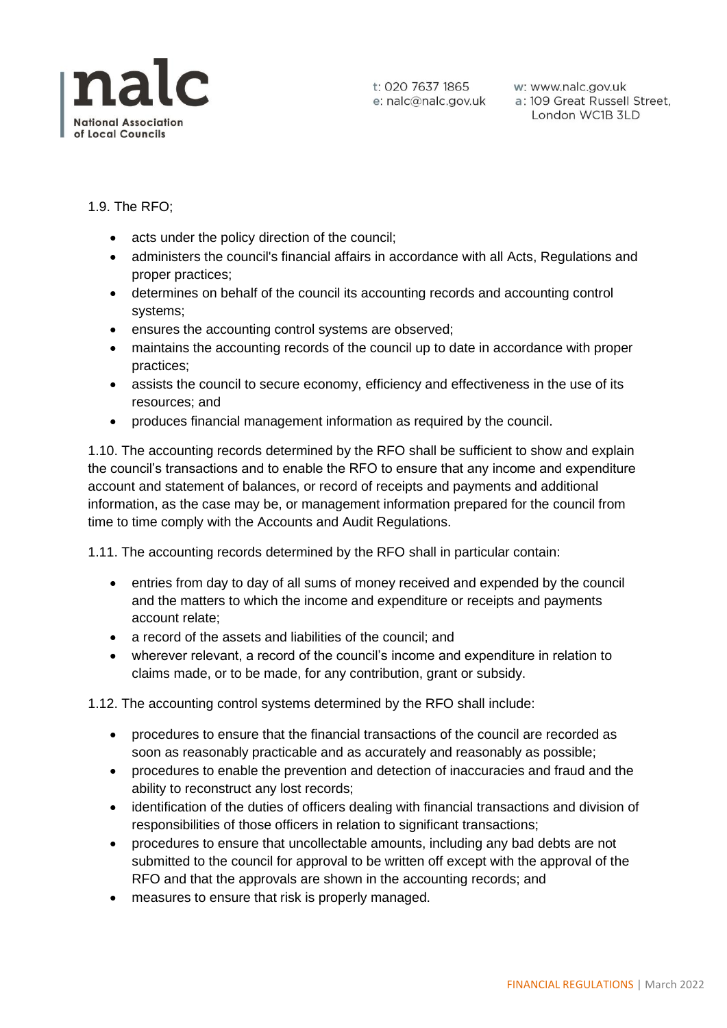

t: 020 7637 1865 w: www.nalc.gov.uk<br>e: nalc@nalc.gov.uk a: 109 Great Russell Street, London WC1B 3LD

1.9. The RFO;

- acts under the policy direction of the council;
- administers the council's financial affairs in accordance with all Acts, Regulations and proper practices;
- determines on behalf of the council its accounting records and accounting control systems;
- ensures the accounting control systems are observed;
- maintains the accounting records of the council up to date in accordance with proper practices;
- assists the council to secure economy, efficiency and effectiveness in the use of its resources; and
- produces financial management information as required by the council.

1.10. The accounting records determined by the RFO shall be sufficient to show and explain the council's transactions and to enable the RFO to ensure that any income and expenditure account and statement of balances, or record of receipts and payments and additional information, as the case may be, or management information prepared for the council from time to time comply with the Accounts and Audit Regulations.

1.11. The accounting records determined by the RFO shall in particular contain:

- entries from day to day of all sums of money received and expended by the council and the matters to which the income and expenditure or receipts and payments account relate;
- a record of the assets and liabilities of the council: and
- wherever relevant, a record of the council's income and expenditure in relation to claims made, or to be made, for any contribution, grant or subsidy.

1.12. The accounting control systems determined by the RFO shall include:

- procedures to ensure that the financial transactions of the council are recorded as soon as reasonably practicable and as accurately and reasonably as possible;
- procedures to enable the prevention and detection of inaccuracies and fraud and the ability to reconstruct any lost records;
- identification of the duties of officers dealing with financial transactions and division of responsibilities of those officers in relation to significant transactions;
- procedures to ensure that uncollectable amounts, including any bad debts are not submitted to the council for approval to be written off except with the approval of the RFO and that the approvals are shown in the accounting records; and
- measures to ensure that risk is properly managed.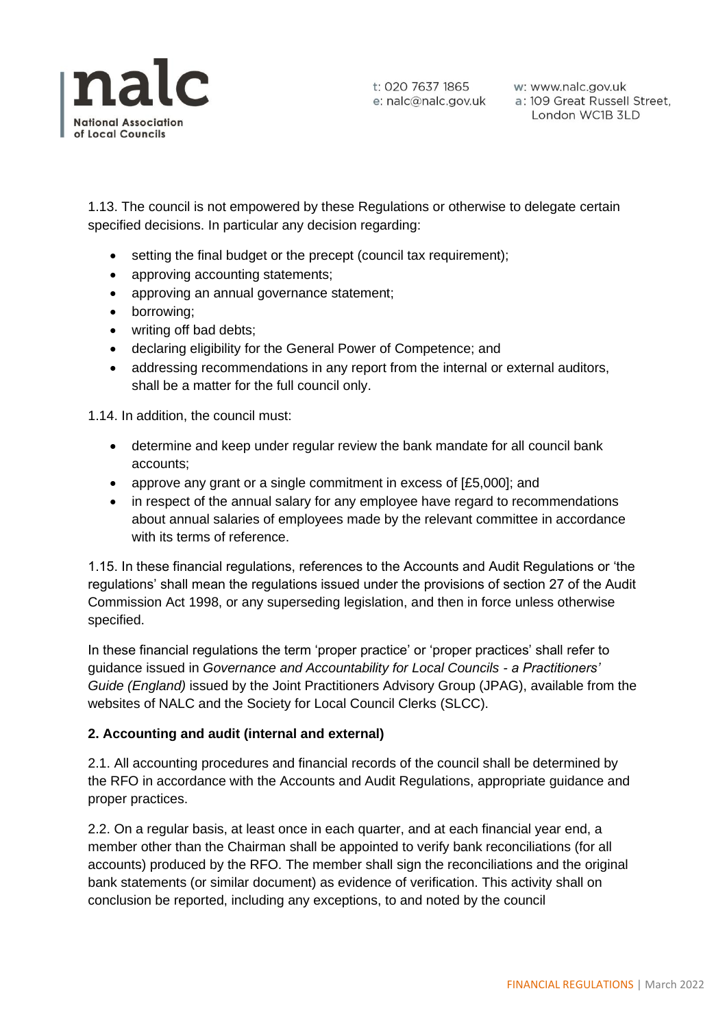

1.13. The council is not empowered by these Regulations or otherwise to delegate certain specified decisions. In particular any decision regarding:

- setting the final budget or the precept (council tax requirement);
- approving accounting statements;
- approving an annual governance statement;
- borrowing;
- writing off bad debts;
- declaring eligibility for the General Power of Competence; and
- addressing recommendations in any report from the internal or external auditors, shall be a matter for the full council only.

1.14. In addition, the council must:

- determine and keep under regular review the bank mandate for all council bank accounts;
- approve any grant or a single commitment in excess of [£5,000]; and
- in respect of the annual salary for any employee have regard to recommendations about annual salaries of employees made by the relevant committee in accordance with its terms of reference.

1.15. In these financial regulations, references to the Accounts and Audit Regulations or 'the regulations' shall mean the regulations issued under the provisions of section 27 of the Audit Commission Act 1998, or any superseding legislation, and then in force unless otherwise specified.

In these financial regulations the term 'proper practice' or 'proper practices' shall refer to guidance issued in *Governance and Accountability for Local Councils - a Practitioners' Guide (England)* issued by the Joint Practitioners Advisory Group (JPAG), available from the websites of NALC and the Society for Local Council Clerks (SLCC).

### **2. Accounting and audit (internal and external)**

2.1. All accounting procedures and financial records of the council shall be determined by the RFO in accordance with the Accounts and Audit Regulations, appropriate guidance and proper practices.

2.2. On a regular basis, at least once in each quarter, and at each financial year end, a member other than the Chairman shall be appointed to verify bank reconciliations (for all accounts) produced by the RFO. The member shall sign the reconciliations and the original bank statements (or similar document) as evidence of verification. This activity shall on conclusion be reported, including any exceptions, to and noted by the council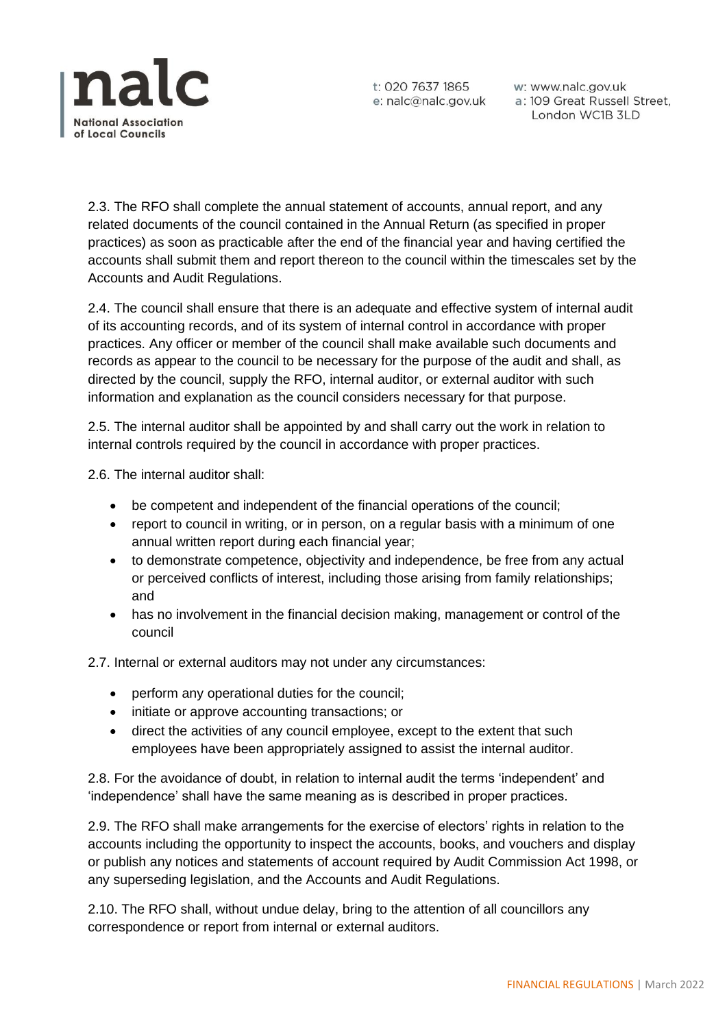

2.3. The RFO shall complete the annual statement of accounts, annual report, and any related documents of the council contained in the Annual Return (as specified in proper practices) as soon as practicable after the end of the financial year and having certified the accounts shall submit them and report thereon to the council within the timescales set by the Accounts and Audit Regulations.

2.4. The council shall ensure that there is an adequate and effective system of internal audit of its accounting records, and of its system of internal control in accordance with proper practices. Any officer or member of the council shall make available such documents and records as appear to the council to be necessary for the purpose of the audit and shall, as directed by the council, supply the RFO, internal auditor, or external auditor with such information and explanation as the council considers necessary for that purpose.

2.5. The internal auditor shall be appointed by and shall carry out the work in relation to internal controls required by the council in accordance with proper practices.

2.6. The internal auditor shall:

- be competent and independent of the financial operations of the council;
- report to council in writing, or in person, on a regular basis with a minimum of one annual written report during each financial year;
- to demonstrate competence, objectivity and independence, be free from any actual or perceived conflicts of interest, including those arising from family relationships; and
- has no involvement in the financial decision making, management or control of the council

2.7. Internal or external auditors may not under any circumstances:

- perform any operational duties for the council;
- initiate or approve accounting transactions; or
- direct the activities of any council employee, except to the extent that such employees have been appropriately assigned to assist the internal auditor.

2.8. For the avoidance of doubt, in relation to internal audit the terms 'independent' and 'independence' shall have the same meaning as is described in proper practices.

2.9. The RFO shall make arrangements for the exercise of electors' rights in relation to the accounts including the opportunity to inspect the accounts, books, and vouchers and display or publish any notices and statements of account required by Audit Commission Act 1998, or any superseding legislation, and the Accounts and Audit Regulations.

2.10. The RFO shall, without undue delay, bring to the attention of all councillors any correspondence or report from internal or external auditors.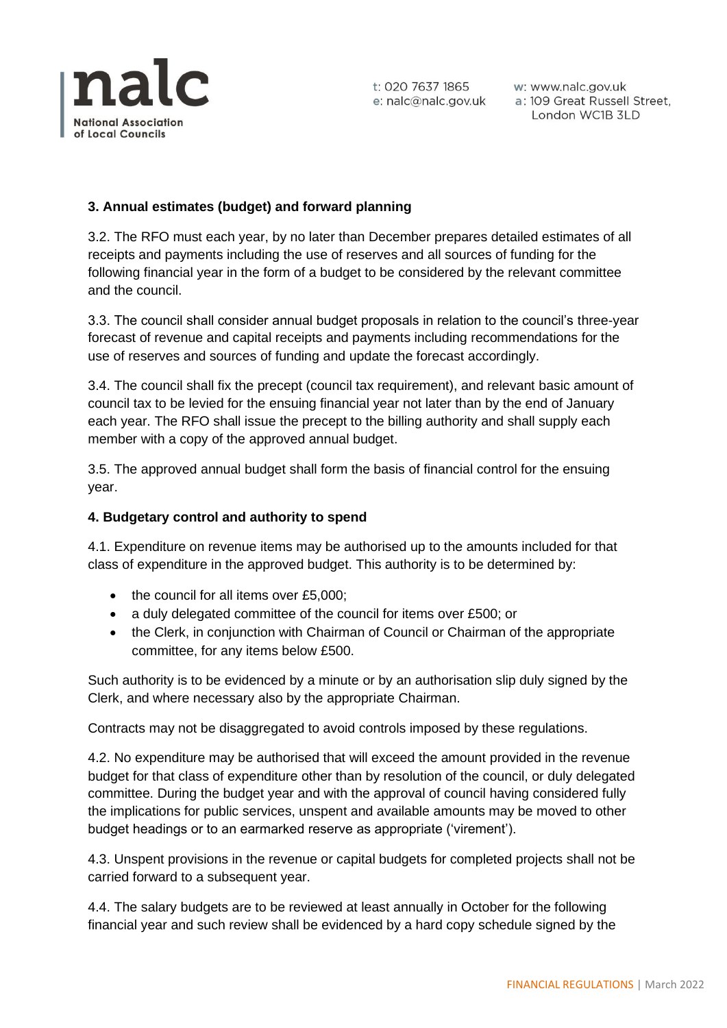

## **3. Annual estimates (budget) and forward planning**

3.2. The RFO must each year, by no later than December prepares detailed estimates of all receipts and payments including the use of reserves and all sources of funding for the following financial year in the form of a budget to be considered by the relevant committee and the council.

3.3. The council shall consider annual budget proposals in relation to the council's three-year forecast of revenue and capital receipts and payments including recommendations for the use of reserves and sources of funding and update the forecast accordingly.

3.4. The council shall fix the precept (council tax requirement), and relevant basic amount of council tax to be levied for the ensuing financial year not later than by the end of January each year. The RFO shall issue the precept to the billing authority and shall supply each member with a copy of the approved annual budget.

3.5. The approved annual budget shall form the basis of financial control for the ensuing year.

## **4. Budgetary control and authority to spend**

4.1. Expenditure on revenue items may be authorised up to the amounts included for that class of expenditure in the approved budget. This authority is to be determined by:

- the council for all items over £5,000:
- a duly delegated committee of the council for items over £500; or
- the Clerk, in conjunction with Chairman of Council or Chairman of the appropriate committee, for any items below £500.

Such authority is to be evidenced by a minute or by an authorisation slip duly signed by the Clerk, and where necessary also by the appropriate Chairman.

Contracts may not be disaggregated to avoid controls imposed by these regulations.

4.2. No expenditure may be authorised that will exceed the amount provided in the revenue budget for that class of expenditure other than by resolution of the council, or duly delegated committee. During the budget year and with the approval of council having considered fully the implications for public services, unspent and available amounts may be moved to other budget headings or to an earmarked reserve as appropriate ('virement').

4.3. Unspent provisions in the revenue or capital budgets for completed projects shall not be carried forward to a subsequent year.

4.4. The salary budgets are to be reviewed at least annually in October for the following financial year and such review shall be evidenced by a hard copy schedule signed by the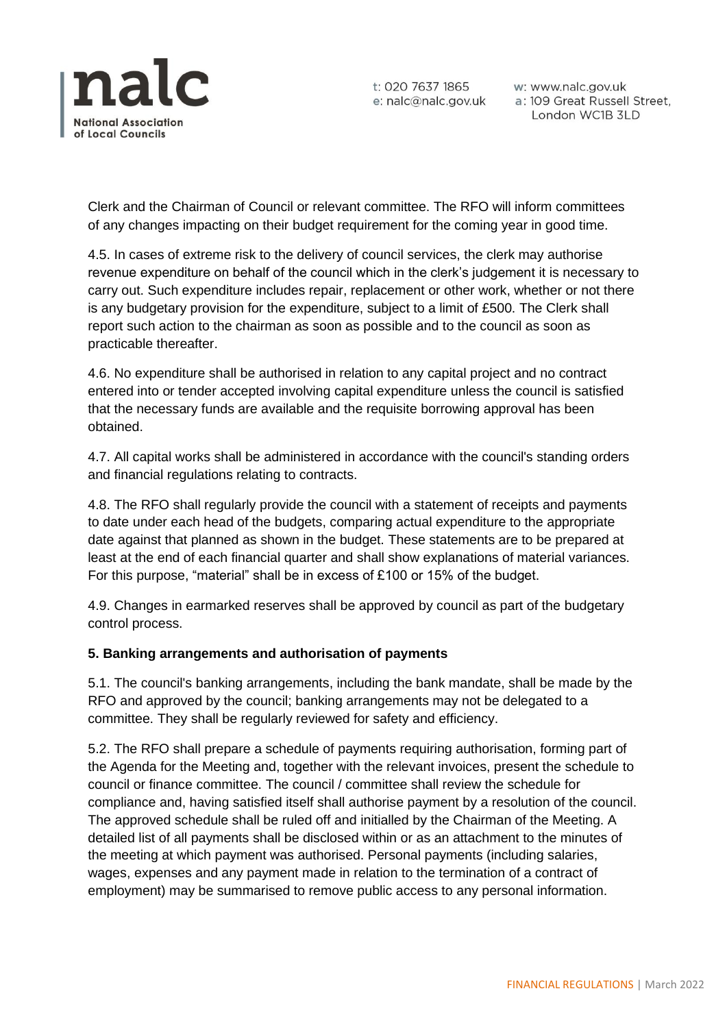

t: 020 7637 1865 w: www.nalc.gov.uk<br>e: nalc@nalc.gov.uk a: 109 Great Russell Street, London WC1B 3LD

Clerk and the Chairman of Council or relevant committee. The RFO will inform committees of any changes impacting on their budget requirement for the coming year in good time.

4.5. In cases of extreme risk to the delivery of council services, the clerk may authorise revenue expenditure on behalf of the council which in the clerk's judgement it is necessary to carry out. Such expenditure includes repair, replacement or other work, whether or not there is any budgetary provision for the expenditure, subject to a limit of £500. The Clerk shall report such action to the chairman as soon as possible and to the council as soon as practicable thereafter.

4.6. No expenditure shall be authorised in relation to any capital project and no contract entered into or tender accepted involving capital expenditure unless the council is satisfied that the necessary funds are available and the requisite borrowing approval has been obtained.

4.7. All capital works shall be administered in accordance with the council's standing orders and financial regulations relating to contracts.

4.8. The RFO shall regularly provide the council with a statement of receipts and payments to date under each head of the budgets, comparing actual expenditure to the appropriate date against that planned as shown in the budget. These statements are to be prepared at least at the end of each financial quarter and shall show explanations of material variances. For this purpose, "material" shall be in excess of £100 or 15% of the budget.

4.9. Changes in earmarked reserves shall be approved by council as part of the budgetary control process.

# **5. Banking arrangements and authorisation of payments**

5.1. The council's banking arrangements, including the bank mandate, shall be made by the RFO and approved by the council; banking arrangements may not be delegated to a committee. They shall be regularly reviewed for safety and efficiency.

5.2. The RFO shall prepare a schedule of payments requiring authorisation, forming part of the Agenda for the Meeting and, together with the relevant invoices, present the schedule to council or finance committee. The council / committee shall review the schedule for compliance and, having satisfied itself shall authorise payment by a resolution of the council. The approved schedule shall be ruled off and initialled by the Chairman of the Meeting. A detailed list of all payments shall be disclosed within or as an attachment to the minutes of the meeting at which payment was authorised. Personal payments (including salaries, wages, expenses and any payment made in relation to the termination of a contract of employment) may be summarised to remove public access to any personal information.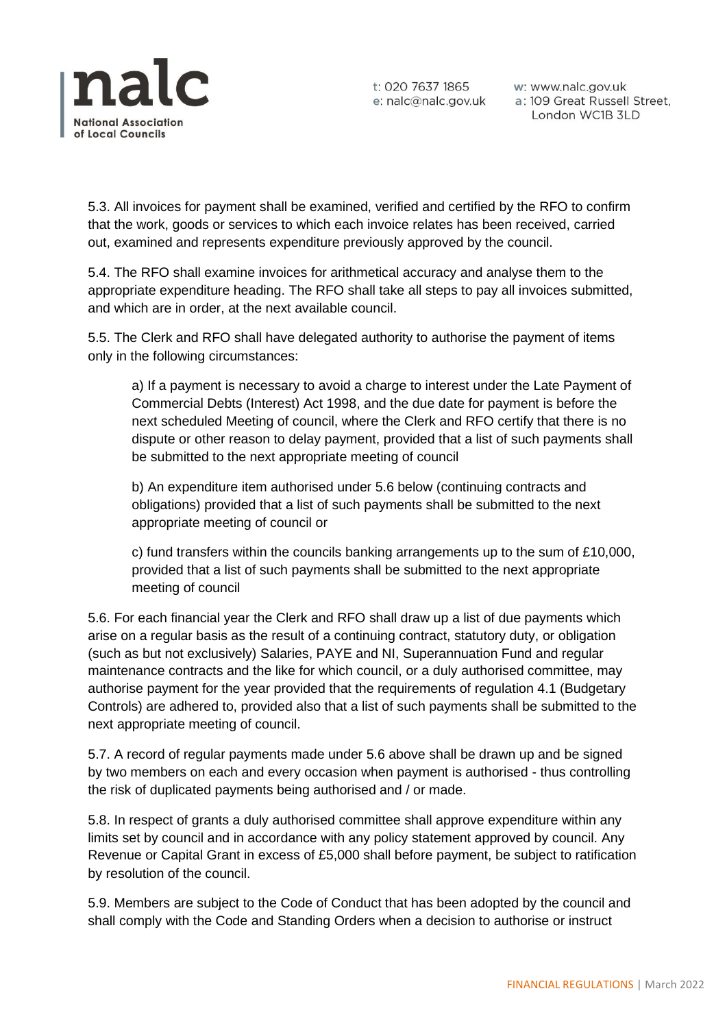

5.3. All invoices for payment shall be examined, verified and certified by the RFO to confirm that the work, goods or services to which each invoice relates has been received, carried out, examined and represents expenditure previously approved by the council.

5.4. The RFO shall examine invoices for arithmetical accuracy and analyse them to the appropriate expenditure heading. The RFO shall take all steps to pay all invoices submitted, and which are in order, at the next available council.

5.5. The Clerk and RFO shall have delegated authority to authorise the payment of items only in the following circumstances:

a) If a payment is necessary to avoid a charge to interest under the Late Payment of Commercial Debts (Interest) Act 1998, and the due date for payment is before the next scheduled Meeting of council, where the Clerk and RFO certify that there is no dispute or other reason to delay payment, provided that a list of such payments shall be submitted to the next appropriate meeting of council

b) An expenditure item authorised under 5.6 below (continuing contracts and obligations) provided that a list of such payments shall be submitted to the next appropriate meeting of council or

c) fund transfers within the councils banking arrangements up to the sum of £10,000, provided that a list of such payments shall be submitted to the next appropriate meeting of council

5.6. For each financial year the Clerk and RFO shall draw up a list of due payments which arise on a regular basis as the result of a continuing contract, statutory duty, or obligation (such as but not exclusively) Salaries, PAYE and NI, Superannuation Fund and regular maintenance contracts and the like for which council, or a duly authorised committee, may authorise payment for the year provided that the requirements of regulation 4.1 (Budgetary Controls) are adhered to, provided also that a list of such payments shall be submitted to the next appropriate meeting of council.

5.7. A record of regular payments made under 5.6 above shall be drawn up and be signed by two members on each and every occasion when payment is authorised - thus controlling the risk of duplicated payments being authorised and / or made.

5.8. In respect of grants a duly authorised committee shall approve expenditure within any limits set by council and in accordance with any policy statement approved by council. Any Revenue or Capital Grant in excess of £5,000 shall before payment, be subject to ratification by resolution of the council.

5.9. Members are subject to the Code of Conduct that has been adopted by the council and shall comply with the Code and Standing Orders when a decision to authorise or instruct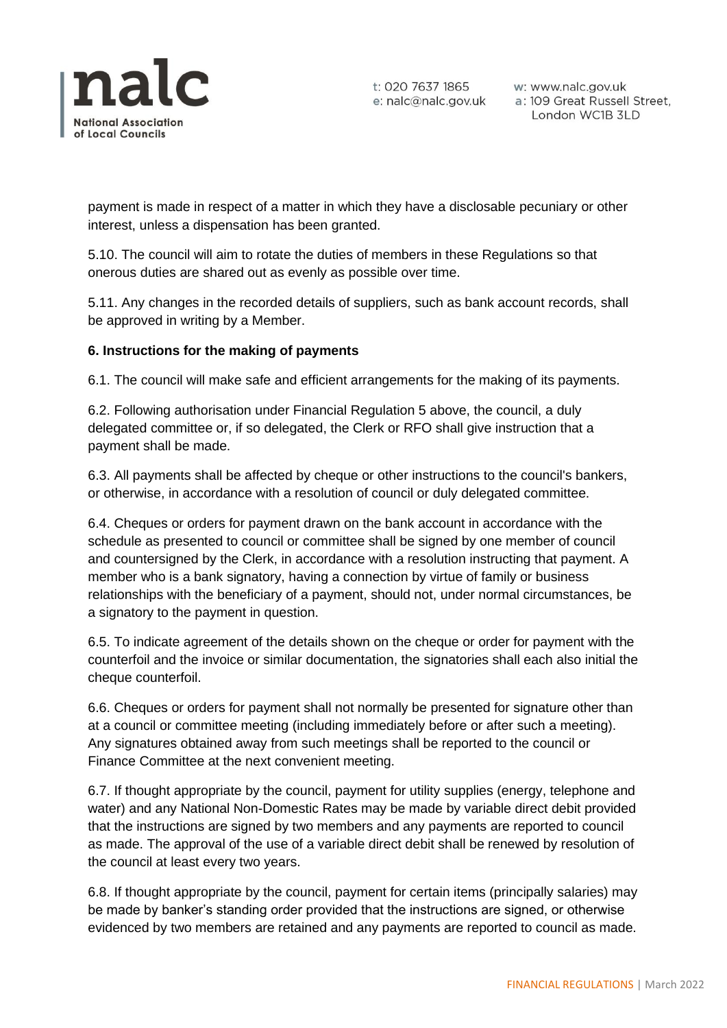

t: 020 7637 1865 w: www.nalc.gov.uk<br>e: nalc@nalc.gov.uk a: 109 Great Russell Street, London WC1B 3LD

payment is made in respect of a matter in which they have a disclosable pecuniary or other interest, unless a dispensation has been granted.

5.10. The council will aim to rotate the duties of members in these Regulations so that onerous duties are shared out as evenly as possible over time.

5.11. Any changes in the recorded details of suppliers, such as bank account records, shall be approved in writing by a Member.

## **6. Instructions for the making of payments**

6.1. The council will make safe and efficient arrangements for the making of its payments.

6.2. Following authorisation under Financial Regulation 5 above, the council, a duly delegated committee or, if so delegated, the Clerk or RFO shall give instruction that a payment shall be made.

6.3. All payments shall be affected by cheque or other instructions to the council's bankers, or otherwise, in accordance with a resolution of council or duly delegated committee.

6.4. Cheques or orders for payment drawn on the bank account in accordance with the schedule as presented to council or committee shall be signed by one member of council and countersigned by the Clerk, in accordance with a resolution instructing that payment. A member who is a bank signatory, having a connection by virtue of family or business relationships with the beneficiary of a payment, should not, under normal circumstances, be a signatory to the payment in question.

6.5. To indicate agreement of the details shown on the cheque or order for payment with the counterfoil and the invoice or similar documentation, the signatories shall each also initial the cheque counterfoil.

6.6. Cheques or orders for payment shall not normally be presented for signature other than at a council or committee meeting (including immediately before or after such a meeting). Any signatures obtained away from such meetings shall be reported to the council or Finance Committee at the next convenient meeting.

6.7. If thought appropriate by the council, payment for utility supplies (energy, telephone and water) and any National Non-Domestic Rates may be made by variable direct debit provided that the instructions are signed by two members and any payments are reported to council as made. The approval of the use of a variable direct debit shall be renewed by resolution of the council at least every two years.

6.8. If thought appropriate by the council, payment for certain items (principally salaries) may be made by banker's standing order provided that the instructions are signed, or otherwise evidenced by two members are retained and any payments are reported to council as made.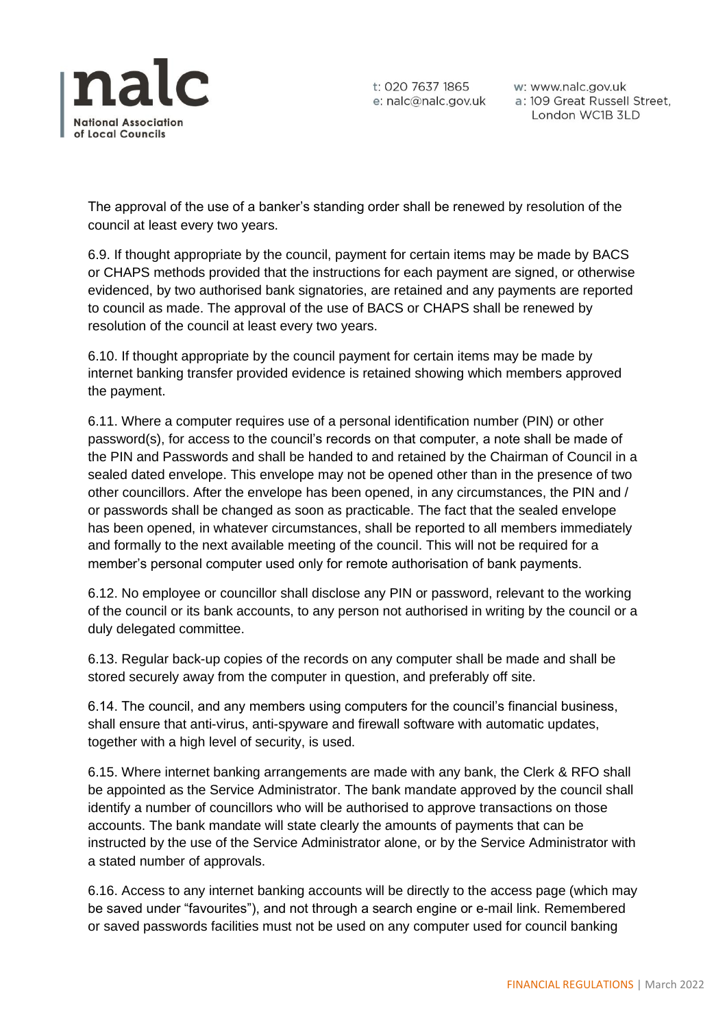

The approval of the use of a banker's standing order shall be renewed by resolution of the council at least every two years.

6.9. If thought appropriate by the council, payment for certain items may be made by BACS or CHAPS methods provided that the instructions for each payment are signed, or otherwise evidenced, by two authorised bank signatories, are retained and any payments are reported to council as made. The approval of the use of BACS or CHAPS shall be renewed by resolution of the council at least every two years.

6.10. If thought appropriate by the council payment for certain items may be made by internet banking transfer provided evidence is retained showing which members approved the payment.

6.11. Where a computer requires use of a personal identification number (PIN) or other password(s), for access to the council's records on that computer, a note shall be made of the PIN and Passwords and shall be handed to and retained by the Chairman of Council in a sealed dated envelope. This envelope may not be opened other than in the presence of two other councillors. After the envelope has been opened, in any circumstances, the PIN and / or passwords shall be changed as soon as practicable. The fact that the sealed envelope has been opened, in whatever circumstances, shall be reported to all members immediately and formally to the next available meeting of the council. This will not be required for a member's personal computer used only for remote authorisation of bank payments.

6.12. No employee or councillor shall disclose any PIN or password, relevant to the working of the council or its bank accounts, to any person not authorised in writing by the council or a duly delegated committee.

6.13. Regular back-up copies of the records on any computer shall be made and shall be stored securely away from the computer in question, and preferably off site.

6.14. The council, and any members using computers for the council's financial business, shall ensure that anti-virus, anti-spyware and firewall software with automatic updates, together with a high level of security, is used.

6.15. Where internet banking arrangements are made with any bank, the Clerk & RFO shall be appointed as the Service Administrator. The bank mandate approved by the council shall identify a number of councillors who will be authorised to approve transactions on those accounts. The bank mandate will state clearly the amounts of payments that can be instructed by the use of the Service Administrator alone, or by the Service Administrator with a stated number of approvals.

6.16. Access to any internet banking accounts will be directly to the access page (which may be saved under "favourites"), and not through a search engine or e-mail link. Remembered or saved passwords facilities must not be used on any computer used for council banking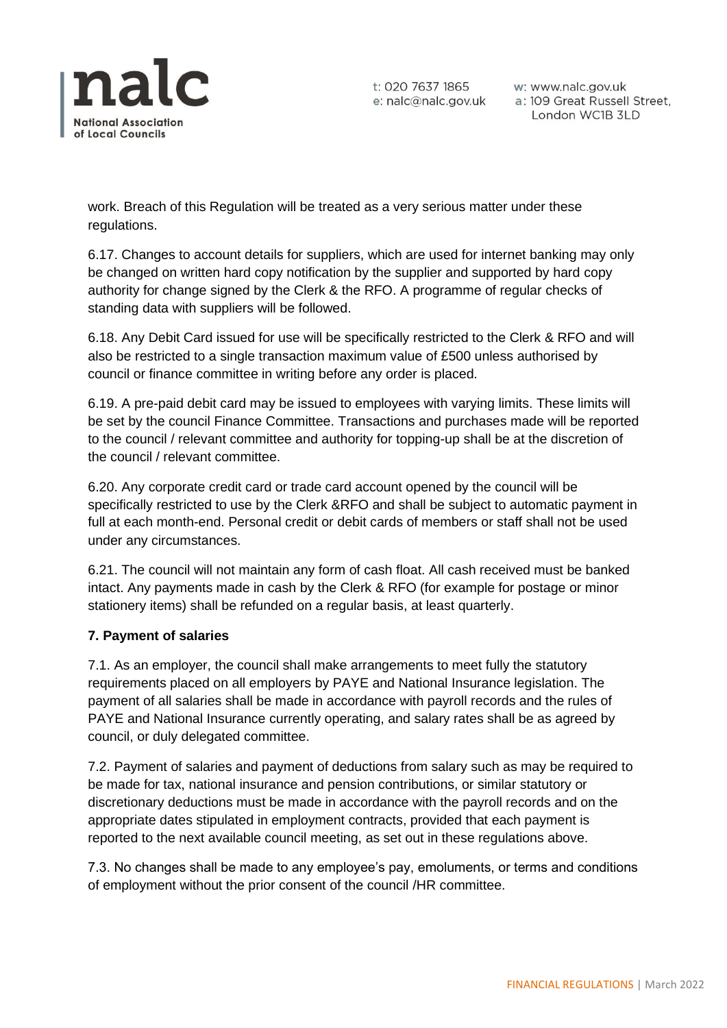

work. Breach of this Regulation will be treated as a very serious matter under these regulations.

6.17. Changes to account details for suppliers, which are used for internet banking may only be changed on written hard copy notification by the supplier and supported by hard copy authority for change signed by the Clerk & the RFO. A programme of regular checks of standing data with suppliers will be followed.

6.18. Any Debit Card issued for use will be specifically restricted to the Clerk & RFO and will also be restricted to a single transaction maximum value of £500 unless authorised by council or finance committee in writing before any order is placed.

6.19. A pre-paid debit card may be issued to employees with varying limits. These limits will be set by the council Finance Committee. Transactions and purchases made will be reported to the council / relevant committee and authority for topping-up shall be at the discretion of the council / relevant committee.

6.20. Any corporate credit card or trade card account opened by the council will be specifically restricted to use by the Clerk &RFO and shall be subject to automatic payment in full at each month-end. Personal credit or debit cards of members or staff shall not be used under any circumstances.

6.21. The council will not maintain any form of cash float. All cash received must be banked intact. Any payments made in cash by the Clerk & RFO (for example for postage or minor stationery items) shall be refunded on a regular basis, at least quarterly.

# **7. Payment of salaries**

7.1. As an employer, the council shall make arrangements to meet fully the statutory requirements placed on all employers by PAYE and National Insurance legislation. The payment of all salaries shall be made in accordance with payroll records and the rules of PAYE and National Insurance currently operating, and salary rates shall be as agreed by council, or duly delegated committee.

7.2. Payment of salaries and payment of deductions from salary such as may be required to be made for tax, national insurance and pension contributions, or similar statutory or discretionary deductions must be made in accordance with the payroll records and on the appropriate dates stipulated in employment contracts, provided that each payment is reported to the next available council meeting, as set out in these regulations above.

7.3. No changes shall be made to any employee's pay, emoluments, or terms and conditions of employment without the prior consent of the council /HR committee.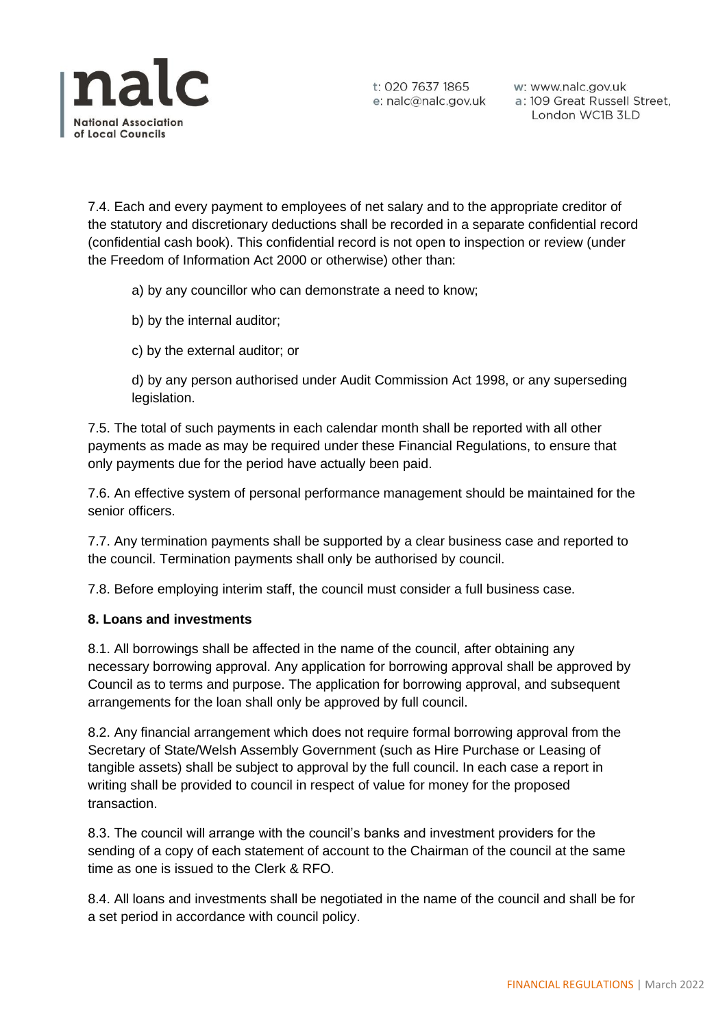

t: 020 7637 1865 w: www.nalc.gov.uk<br>e: nalc@nalc.gov.uk a: 109 Great Russell Street, London WC1B 3LD

7.4. Each and every payment to employees of net salary and to the appropriate creditor of the statutory and discretionary deductions shall be recorded in a separate confidential record (confidential cash book). This confidential record is not open to inspection or review (under the Freedom of Information Act 2000 or otherwise) other than:

a) by any councillor who can demonstrate a need to know;

- b) by the internal auditor;
- c) by the external auditor; or

d) by any person authorised under Audit Commission Act 1998, or any superseding legislation.

7.5. The total of such payments in each calendar month shall be reported with all other payments as made as may be required under these Financial Regulations, to ensure that only payments due for the period have actually been paid.

7.6. An effective system of personal performance management should be maintained for the senior officers.

7.7. Any termination payments shall be supported by a clear business case and reported to the council. Termination payments shall only be authorised by council.

7.8. Before employing interim staff, the council must consider a full business case.

### **8. Loans and investments**

8.1. All borrowings shall be affected in the name of the council, after obtaining any necessary borrowing approval. Any application for borrowing approval shall be approved by Council as to terms and purpose. The application for borrowing approval, and subsequent arrangements for the loan shall only be approved by full council.

8.2. Any financial arrangement which does not require formal borrowing approval from the Secretary of State/Welsh Assembly Government (such as Hire Purchase or Leasing of tangible assets) shall be subject to approval by the full council. In each case a report in writing shall be provided to council in respect of value for money for the proposed transaction.

8.3. The council will arrange with the council's banks and investment providers for the sending of a copy of each statement of account to the Chairman of the council at the same time as one is issued to the Clerk & RFO.

8.4. All loans and investments shall be negotiated in the name of the council and shall be for a set period in accordance with council policy.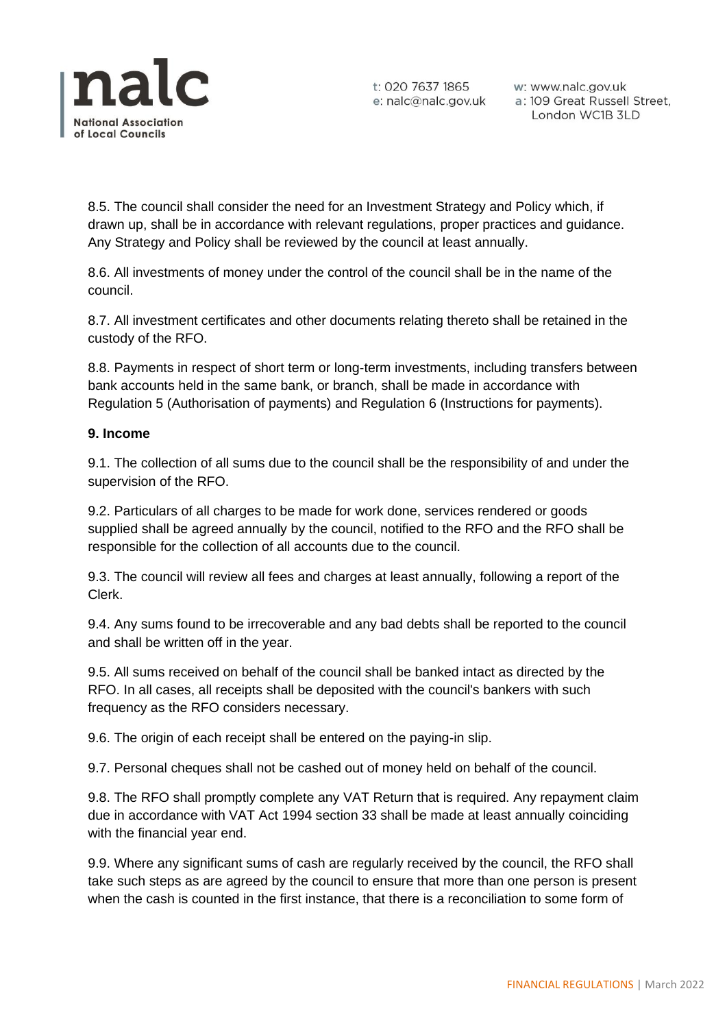

t: 020 7637 1865 w: www.nalc.gov.uk<br>e: nalc@nalc.gov.uk a: 109 Great Russell Street, London WC1B 3LD

8.5. The council shall consider the need for an Investment Strategy and Policy which, if drawn up, shall be in accordance with relevant regulations, proper practices and guidance. Any Strategy and Policy shall be reviewed by the council at least annually.

8.6. All investments of money under the control of the council shall be in the name of the council.

8.7. All investment certificates and other documents relating thereto shall be retained in the custody of the RFO.

8.8. Payments in respect of short term or long-term investments, including transfers between bank accounts held in the same bank, or branch, shall be made in accordance with Regulation 5 (Authorisation of payments) and Regulation 6 (Instructions for payments).

## **9. Income**

9.1. The collection of all sums due to the council shall be the responsibility of and under the supervision of the RFO.

9.2. Particulars of all charges to be made for work done, services rendered or goods supplied shall be agreed annually by the council, notified to the RFO and the RFO shall be responsible for the collection of all accounts due to the council.

9.3. The council will review all fees and charges at least annually, following a report of the Clerk.

9.4. Any sums found to be irrecoverable and any bad debts shall be reported to the council and shall be written off in the year.

9.5. All sums received on behalf of the council shall be banked intact as directed by the RFO. In all cases, all receipts shall be deposited with the council's bankers with such frequency as the RFO considers necessary.

9.6. The origin of each receipt shall be entered on the paying-in slip.

9.7. Personal cheques shall not be cashed out of money held on behalf of the council.

9.8. The RFO shall promptly complete any VAT Return that is required. Any repayment claim due in accordance with VAT Act 1994 section 33 shall be made at least annually coinciding with the financial year end.

9.9. Where any significant sums of cash are regularly received by the council, the RFO shall take such steps as are agreed by the council to ensure that more than one person is present when the cash is counted in the first instance, that there is a reconciliation to some form of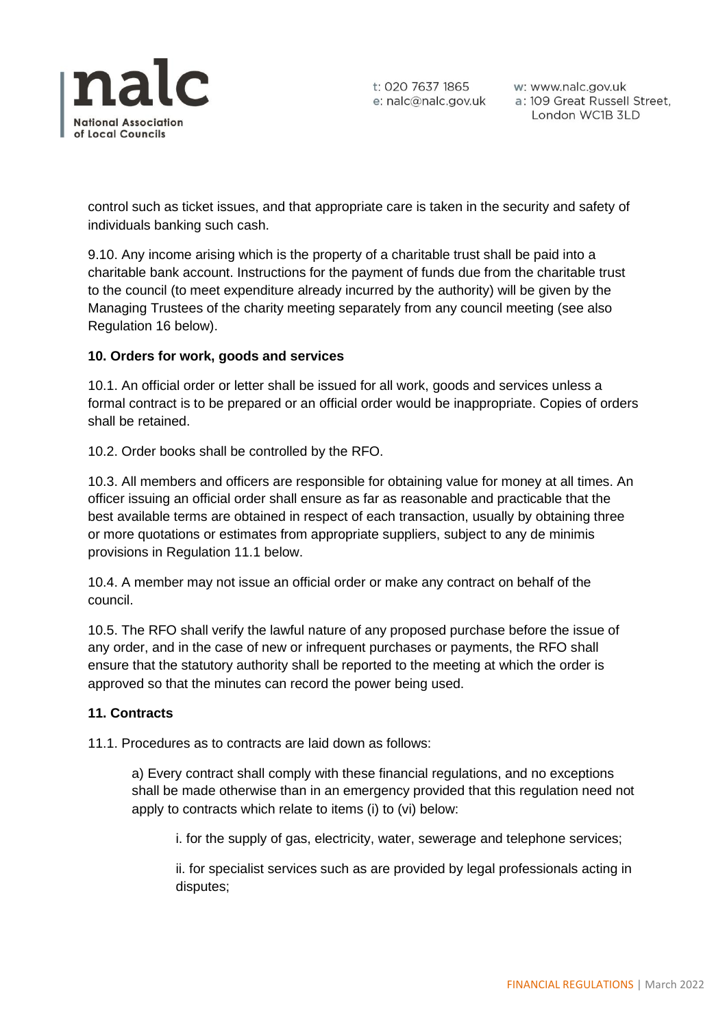

control such as ticket issues, and that appropriate care is taken in the security and safety of individuals banking such cash.

9.10. Any income arising which is the property of a charitable trust shall be paid into a charitable bank account. Instructions for the payment of funds due from the charitable trust to the council (to meet expenditure already incurred by the authority) will be given by the Managing Trustees of the charity meeting separately from any council meeting (see also Regulation 16 below).

## **10. Orders for work, goods and services**

10.1. An official order or letter shall be issued for all work, goods and services unless a formal contract is to be prepared or an official order would be inappropriate. Copies of orders shall be retained.

10.2. Order books shall be controlled by the RFO.

10.3. All members and officers are responsible for obtaining value for money at all times. An officer issuing an official order shall ensure as far as reasonable and practicable that the best available terms are obtained in respect of each transaction, usually by obtaining three or more quotations or estimates from appropriate suppliers, subject to any de minimis provisions in Regulation 11.1 below.

10.4. A member may not issue an official order or make any contract on behalf of the council.

10.5. The RFO shall verify the lawful nature of any proposed purchase before the issue of any order, and in the case of new or infrequent purchases or payments, the RFO shall ensure that the statutory authority shall be reported to the meeting at which the order is approved so that the minutes can record the power being used.

### **11. Contracts**

11.1. Procedures as to contracts are laid down as follows:

a) Every contract shall comply with these financial regulations, and no exceptions shall be made otherwise than in an emergency provided that this regulation need not apply to contracts which relate to items (i) to (vi) below:

i. for the supply of gas, electricity, water, sewerage and telephone services;

ii. for specialist services such as are provided by legal professionals acting in disputes;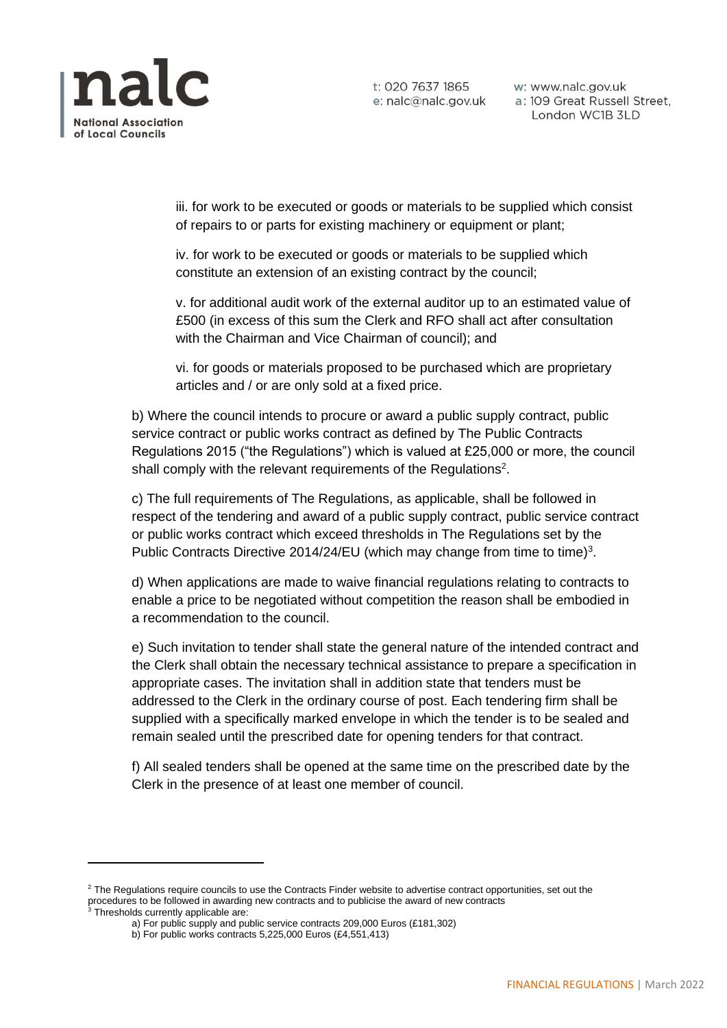

t: 020 7637 1865 e: nalc@nalc.gov.uk

w: www.nalc.gov.uk a: 109 Great Russell Street, London WC1B 3LD

iii. for work to be executed or goods or materials to be supplied which consist of repairs to or parts for existing machinery or equipment or plant;

iv. for work to be executed or goods or materials to be supplied which constitute an extension of an existing contract by the council;

v. for additional audit work of the external auditor up to an estimated value of £500 (in excess of this sum the Clerk and RFO shall act after consultation with the Chairman and Vice Chairman of council); and

vi. for goods or materials proposed to be purchased which are proprietary articles and / or are only sold at a fixed price.

b) Where the council intends to procure or award a public supply contract, public service contract or public works contract as defined by The Public Contracts Regulations 2015 ("the Regulations") which is valued at £25,000 or more, the council shall comply with the relevant requirements of the Regulations<sup>2</sup>.

c) The full requirements of The Regulations, as applicable, shall be followed in respect of the tendering and award of a public supply contract, public service contract or public works contract which exceed thresholds in The Regulations set by the Public Contracts Directive 2014/24/EU (which may change from time to time)<sup>3</sup>.

d) When applications are made to waive financial regulations relating to contracts to enable a price to be negotiated without competition the reason shall be embodied in a recommendation to the council.

e) Such invitation to tender shall state the general nature of the intended contract and the Clerk shall obtain the necessary technical assistance to prepare a specification in appropriate cases. The invitation shall in addition state that tenders must be addressed to the Clerk in the ordinary course of post. Each tendering firm shall be supplied with a specifically marked envelope in which the tender is to be sealed and remain sealed until the prescribed date for opening tenders for that contract.

f) All sealed tenders shall be opened at the same time on the prescribed date by the Clerk in the presence of at least one member of council.

<sup>&</sup>lt;sup>2</sup> The Regulations require councils to use the Contracts Finder website to advertise contract opportunities, set out the procedures to be followed in awarding new contracts and to publicise the award of new contracts

<sup>&</sup>lt;sup>3</sup> Thresholds currently applicable are:

a) For public supply and public service contracts 209,000 Euros (£181,302)

b) For public works contracts 5,225,000 Euros (£4,551,413)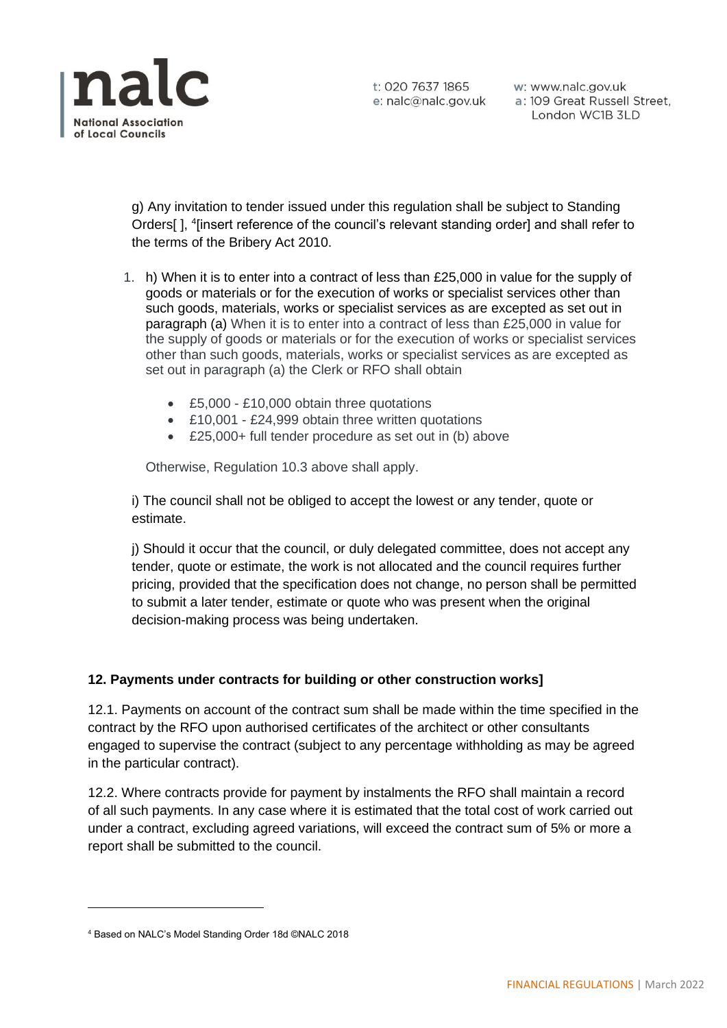

t: 020 7637 1865 e: nalc@nalc.gov.uk

w: www.nalc.gov.uk a: 109 Great Russell Street, London WC1B 3LD

g) Any invitation to tender issued under this regulation shall be subject to Standing Orders[], <sup>4</sup>[insert reference of the council's relevant standing order] and shall refer to the terms of the Bribery Act 2010.

- 1. h) When it is to enter into a contract of less than £25,000 in value for the supply of goods or materials or for the execution of works or specialist services other than such goods, materials, works or specialist services as are excepted as set out in paragraph (a) When it is to enter into a contract of less than £25,000 in value for the supply of goods or materials or for the execution of works or specialist services other than such goods, materials, works or specialist services as are excepted as set out in paragraph (a) the Clerk or RFO shall obtain
	- £5,000 £10,000 obtain three quotations
	- £10,001 £24,999 obtain three written quotations
	- £25,000+ full tender procedure as set out in (b) above

Otherwise, Regulation 10.3 above shall apply.

i) The council shall not be obliged to accept the lowest or any tender, quote or estimate.

j) Should it occur that the council, or duly delegated committee, does not accept any tender, quote or estimate, the work is not allocated and the council requires further pricing, provided that the specification does not change, no person shall be permitted to submit a later tender, estimate or quote who was present when the original decision-making process was being undertaken.

### **12. Payments under contracts for building or other construction works]**

12.1. Payments on account of the contract sum shall be made within the time specified in the contract by the RFO upon authorised certificates of the architect or other consultants engaged to supervise the contract (subject to any percentage withholding as may be agreed in the particular contract).

12.2. Where contracts provide for payment by instalments the RFO shall maintain a record of all such payments. In any case where it is estimated that the total cost of work carried out under a contract, excluding agreed variations, will exceed the contract sum of 5% or more a report shall be submitted to the council.

<sup>4</sup> Based on NALC's Model Standing Order 18d ©NALC 2018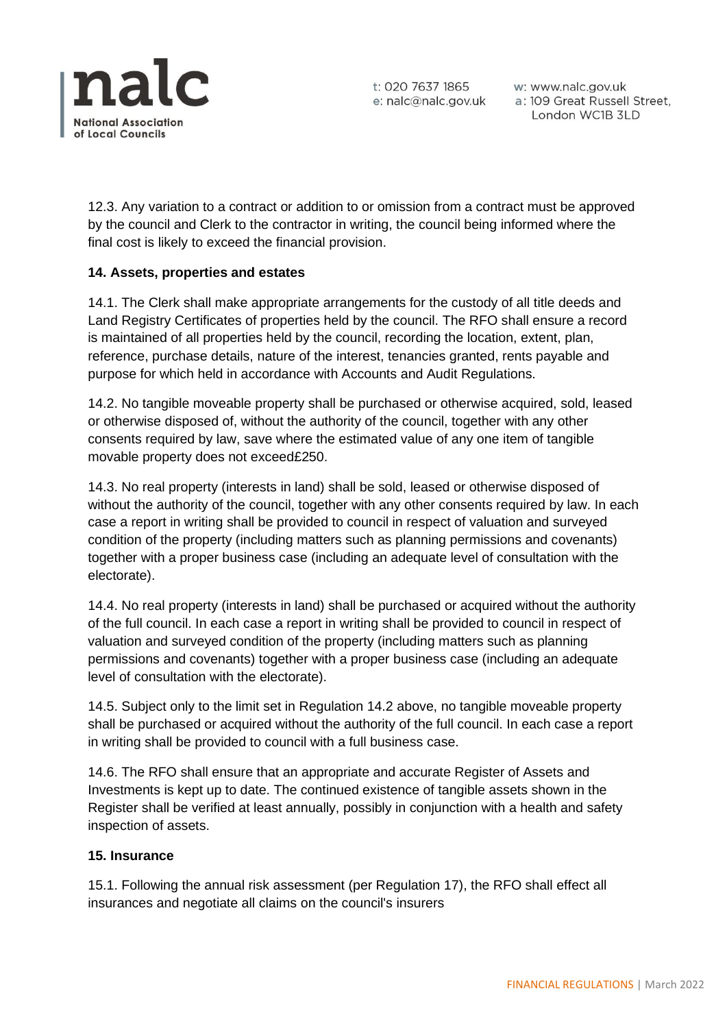

12.3. Any variation to a contract or addition to or omission from a contract must be approved by the council and Clerk to the contractor in writing, the council being informed where the final cost is likely to exceed the financial provision.

## **14. Assets, properties and estates**

14.1. The Clerk shall make appropriate arrangements for the custody of all title deeds and Land Registry Certificates of properties held by the council. The RFO shall ensure a record is maintained of all properties held by the council, recording the location, extent, plan, reference, purchase details, nature of the interest, tenancies granted, rents payable and purpose for which held in accordance with Accounts and Audit Regulations.

14.2. No tangible moveable property shall be purchased or otherwise acquired, sold, leased or otherwise disposed of, without the authority of the council, together with any other consents required by law, save where the estimated value of any one item of tangible movable property does not exceed£250.

14.3. No real property (interests in land) shall be sold, leased or otherwise disposed of without the authority of the council, together with any other consents required by law. In each case a report in writing shall be provided to council in respect of valuation and surveyed condition of the property (including matters such as planning permissions and covenants) together with a proper business case (including an adequate level of consultation with the electorate).

14.4. No real property (interests in land) shall be purchased or acquired without the authority of the full council. In each case a report in writing shall be provided to council in respect of valuation and surveyed condition of the property (including matters such as planning permissions and covenants) together with a proper business case (including an adequate level of consultation with the electorate).

14.5. Subject only to the limit set in Regulation 14.2 above, no tangible moveable property shall be purchased or acquired without the authority of the full council. In each case a report in writing shall be provided to council with a full business case.

14.6. The RFO shall ensure that an appropriate and accurate Register of Assets and Investments is kept up to date. The continued existence of tangible assets shown in the Register shall be verified at least annually, possibly in conjunction with a health and safety inspection of assets.

### **15. Insurance**

15.1. Following the annual risk assessment (per Regulation 17), the RFO shall effect all insurances and negotiate all claims on the council's insurers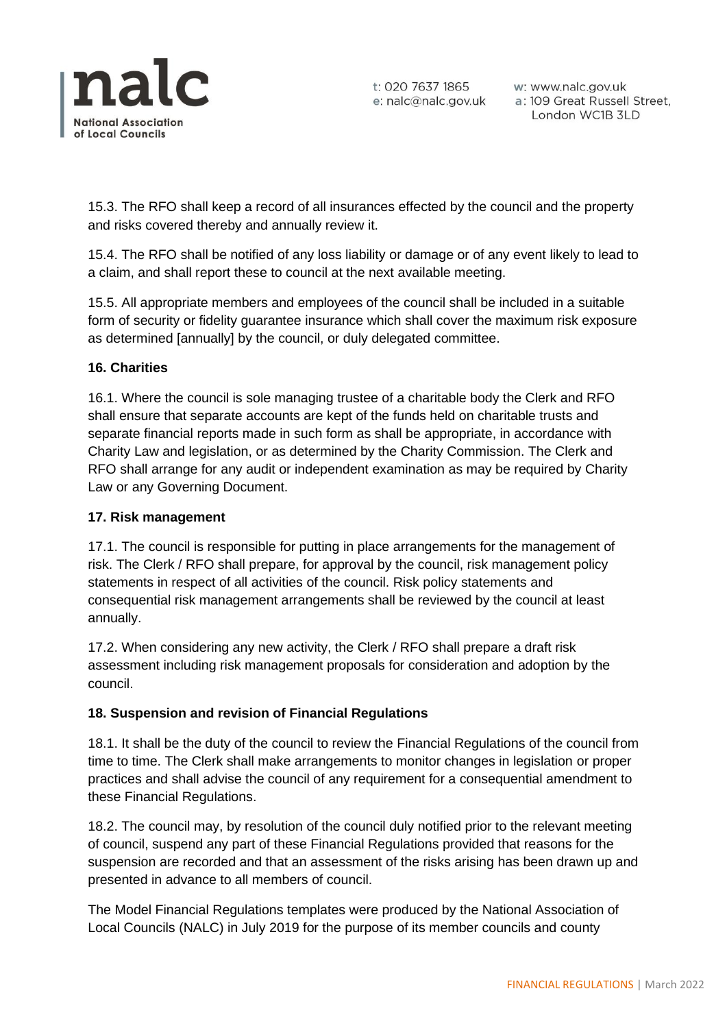

15.3. The RFO shall keep a record of all insurances effected by the council and the property and risks covered thereby and annually review it.

15.4. The RFO shall be notified of any loss liability or damage or of any event likely to lead to a claim, and shall report these to council at the next available meeting.

15.5. All appropriate members and employees of the council shall be included in a suitable form of security or fidelity guarantee insurance which shall cover the maximum risk exposure as determined [annually] by the council, or duly delegated committee.

# **16. Charities**

16.1. Where the council is sole managing trustee of a charitable body the Clerk and RFO shall ensure that separate accounts are kept of the funds held on charitable trusts and separate financial reports made in such form as shall be appropriate, in accordance with Charity Law and legislation, or as determined by the Charity Commission. The Clerk and RFO shall arrange for any audit or independent examination as may be required by Charity Law or any Governing Document.

### **17. Risk management**

17.1. The council is responsible for putting in place arrangements for the management of risk. The Clerk / RFO shall prepare, for approval by the council, risk management policy statements in respect of all activities of the council. Risk policy statements and consequential risk management arrangements shall be reviewed by the council at least annually.

17.2. When considering any new activity, the Clerk / RFO shall prepare a draft risk assessment including risk management proposals for consideration and adoption by the council.

### **18. Suspension and revision of Financial Regulations**

18.1. It shall be the duty of the council to review the Financial Regulations of the council from time to time. The Clerk shall make arrangements to monitor changes in legislation or proper practices and shall advise the council of any requirement for a consequential amendment to these Financial Regulations.

18.2. The council may, by resolution of the council duly notified prior to the relevant meeting of council, suspend any part of these Financial Regulations provided that reasons for the suspension are recorded and that an assessment of the risks arising has been drawn up and presented in advance to all members of council.

The Model Financial Regulations templates were produced by the National Association of Local Councils (NALC) in July 2019 for the purpose of its member councils and county